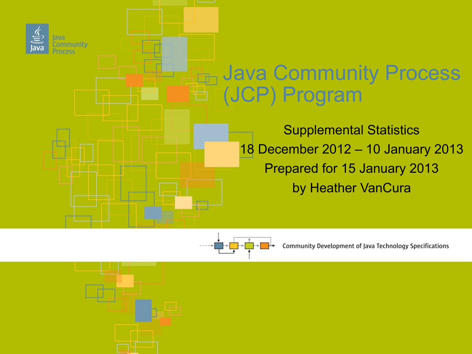



Community Development of Java Technology Specifications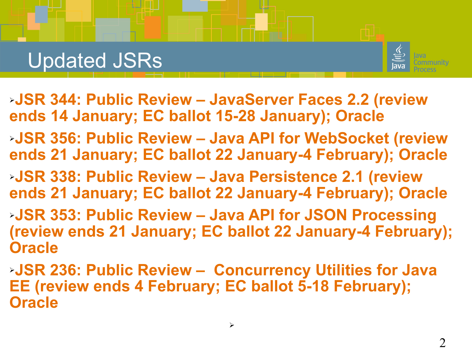## Updated JSRs



- ➢**JSR 344: Public Review JavaServer Faces 2.2 (review ends 14 January; EC ballot 15-28 January); Oracle**
- ➢**JSR 356: Public Review Java API for WebSocket (review ends 21 January; EC ballot 22 January-4 February); Oracle**
- ➢**JSR 338: Public Review Java Persistence 2.1 (review ends 21 January; EC ballot 22 January-4 February); Oracle**
- ➢**JSR 353: Public Review Java API for JSON Processing (review ends 21 January; EC ballot 22 January-4 February); Oracle**
- ➢**JSR 236: Public Review Concurrency Utilities for Java EE (review ends 4 February; EC ballot 5-18 February); Oracle**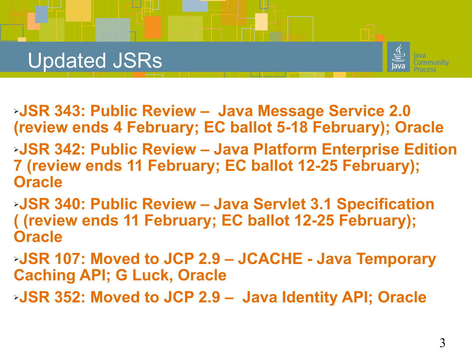## Updated JSRs



- ➢**JSR 343: Public Review Java Message Service 2.0 (review ends 4 February; EC ballot 5-18 February); Oracle**
- ➢**JSR 342: Public Review Java Platform Enterprise Edition 7 (review ends 11 February; EC ballot 12-25 February); Oracle**
- ➢**JSR 340: Public Review Java Servlet 3.1 Specification ( (review ends 11 February; EC ballot 12-25 February); Oracle**
- ➢**JSR 107: Moved to JCP 2.9 JCACHE Java Temporary Caching API; G Luck, Oracle**
- ➢**JSR 352: Moved to JCP 2.9 Java Identity API; Oracle**